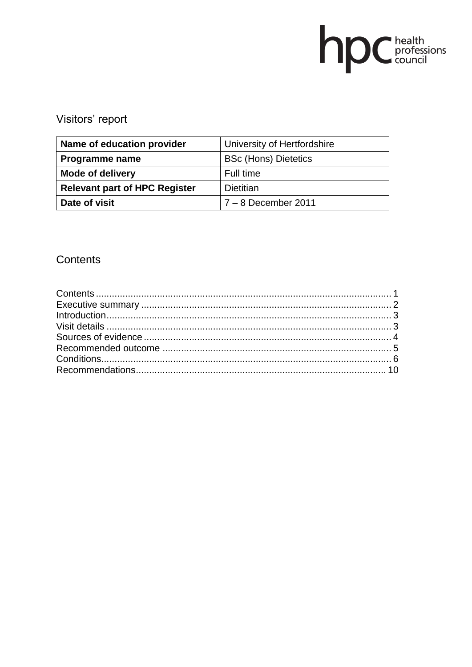# **DC** health<br>council

# Visitors' report

| Name of education provider           | University of Hertfordshire |
|--------------------------------------|-----------------------------|
| Programme name                       | <b>BSc (Hons) Dietetics</b> |
| <b>Mode of delivery</b>              | Full time                   |
| <b>Relevant part of HPC Register</b> | <b>Dietitian</b>            |
| Date of visit                        | $7 - 8$ December 2011       |

# Contents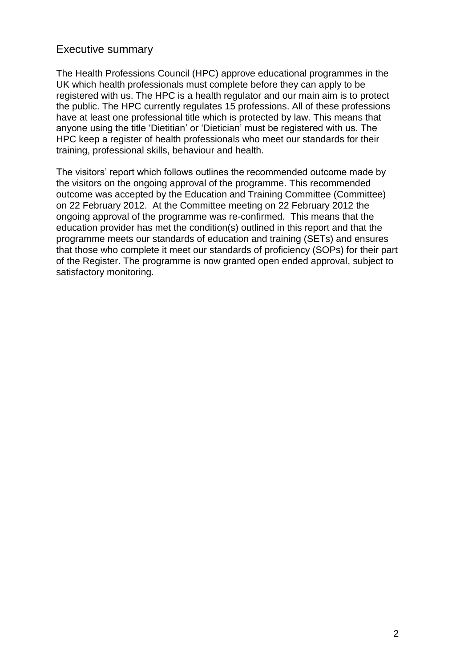## Executive summary

The Health Professions Council (HPC) approve educational programmes in the UK which health professionals must complete before they can apply to be registered with us. The HPC is a health regulator and our main aim is to protect the public. The HPC currently regulates 15 professions. All of these professions have at least one professional title which is protected by law. This means that anyone using the title "Dietitian" or "Dietician" must be registered with us. The HPC keep a register of health professionals who meet our standards for their training, professional skills, behaviour and health.

The visitors' report which follows outlines the recommended outcome made by the visitors on the ongoing approval of the programme. This recommended outcome was accepted by the Education and Training Committee (Committee) on 22 February 2012. At the Committee meeting on 22 February 2012 the ongoing approval of the programme was re-confirmed. This means that the education provider has met the condition(s) outlined in this report and that the programme meets our standards of education and training (SETs) and ensures that those who complete it meet our standards of proficiency (SOPs) for their part of the Register. The programme is now granted open ended approval, subject to satisfactory monitoring.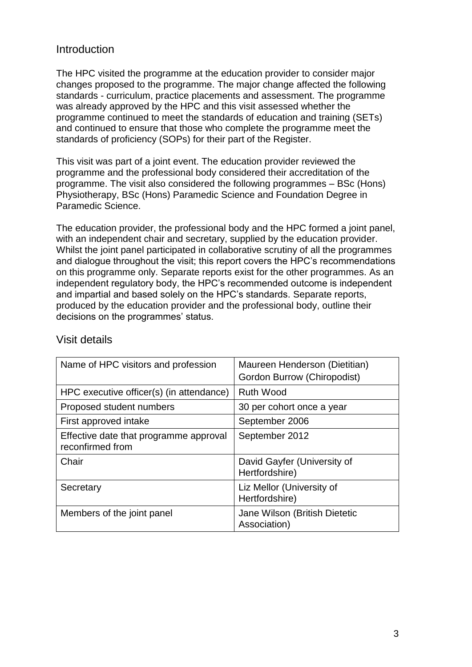# Introduction

The HPC visited the programme at the education provider to consider major changes proposed to the programme. The major change affected the following standards - curriculum, practice placements and assessment. The programme was already approved by the HPC and this visit assessed whether the programme continued to meet the standards of education and training (SETs) and continued to ensure that those who complete the programme meet the standards of proficiency (SOPs) for their part of the Register.

This visit was part of a joint event. The education provider reviewed the programme and the professional body considered their accreditation of the programme. The visit also considered the following programmes – BSc (Hons) Physiotherapy, BSc (Hons) Paramedic Science and Foundation Degree in Paramedic Science.

The education provider, the professional body and the HPC formed a joint panel, with an independent chair and secretary, supplied by the education provider. Whilst the joint panel participated in collaborative scrutiny of all the programmes and dialogue throughout the visit; this report covers the HPC"s recommendations on this programme only. Separate reports exist for the other programmes. As an independent regulatory body, the HPC"s recommended outcome is independent and impartial and based solely on the HPC"s standards. Separate reports, produced by the education provider and the professional body, outline their decisions on the programmes' status.

| Name of HPC visitors and profession                        | Maureen Henderson (Dietitian)<br>Gordon Burrow (Chiropodist) |  |
|------------------------------------------------------------|--------------------------------------------------------------|--|
| HPC executive officer(s) (in attendance)                   | <b>Ruth Wood</b>                                             |  |
| Proposed student numbers                                   | 30 per cohort once a year                                    |  |
| First approved intake                                      | September 2006                                               |  |
| Effective date that programme approval<br>reconfirmed from | September 2012                                               |  |
| Chair                                                      | David Gayfer (University of<br>Hertfordshire)                |  |
| Secretary                                                  | Liz Mellor (University of<br>Hertfordshire)                  |  |
| Members of the joint panel                                 | Jane Wilson (British Dietetic<br>Association)                |  |

#### Visit details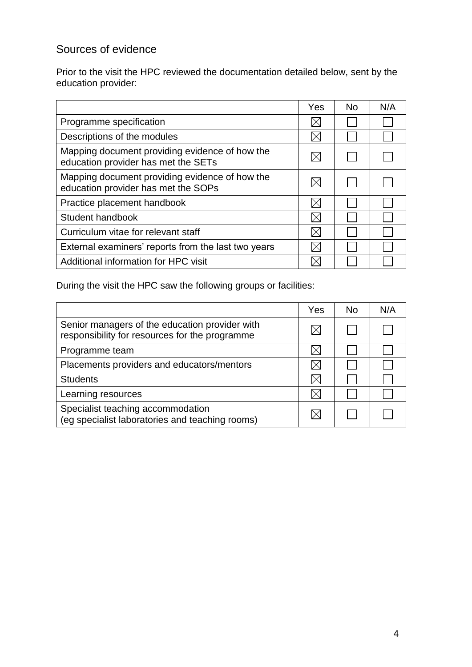# Sources of evidence

Prior to the visit the HPC reviewed the documentation detailed below, sent by the education provider:

|                                                                                       | Yes | <b>No</b> | N/A |
|---------------------------------------------------------------------------------------|-----|-----------|-----|
| Programme specification                                                               |     |           |     |
| Descriptions of the modules                                                           |     |           |     |
| Mapping document providing evidence of how the<br>education provider has met the SETs |     |           |     |
| Mapping document providing evidence of how the<br>education provider has met the SOPs |     |           |     |
| Practice placement handbook                                                           |     |           |     |
| Student handbook                                                                      |     |           |     |
| Curriculum vitae for relevant staff                                                   |     |           |     |
| External examiners' reports from the last two years                                   |     |           |     |
| Additional information for HPC visit                                                  |     |           |     |

During the visit the HPC saw the following groups or facilities:

|                                                                                                  | Yes | <b>No</b> | N/A |
|--------------------------------------------------------------------------------------------------|-----|-----------|-----|
| Senior managers of the education provider with<br>responsibility for resources for the programme |     |           |     |
| Programme team                                                                                   |     |           |     |
| Placements providers and educators/mentors                                                       |     |           |     |
| <b>Students</b>                                                                                  |     |           |     |
| Learning resources                                                                               |     |           |     |
| Specialist teaching accommodation<br>(eg specialist laboratories and teaching rooms)             |     |           |     |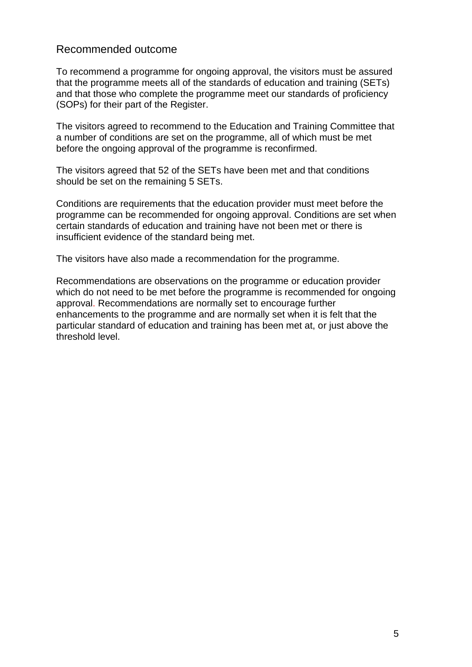## Recommended outcome

To recommend a programme for ongoing approval, the visitors must be assured that the programme meets all of the standards of education and training (SETs) and that those who complete the programme meet our standards of proficiency (SOPs) for their part of the Register.

The visitors agreed to recommend to the Education and Training Committee that a number of conditions are set on the programme, all of which must be met before the ongoing approval of the programme is reconfirmed.

The visitors agreed that 52 of the SETs have been met and that conditions should be set on the remaining 5 SETs.

Conditions are requirements that the education provider must meet before the programme can be recommended for ongoing approval. Conditions are set when certain standards of education and training have not been met or there is insufficient evidence of the standard being met.

The visitors have also made a recommendation for the programme.

Recommendations are observations on the programme or education provider which do not need to be met before the programme is recommended for ongoing approval. Recommendations are normally set to encourage further enhancements to the programme and are normally set when it is felt that the particular standard of education and training has been met at, or just above the threshold level.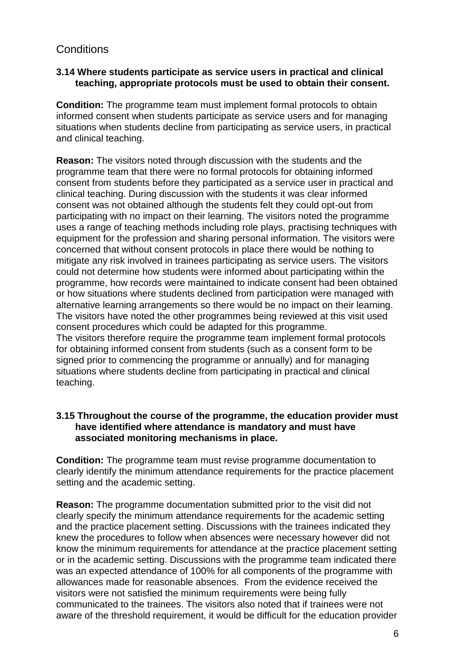# **Conditions**

#### **3.14 Where students participate as service users in practical and clinical teaching, appropriate protocols must be used to obtain their consent.**

**Condition:** The programme team must implement formal protocols to obtain informed consent when students participate as service users and for managing situations when students decline from participating as service users, in practical and clinical teaching.

**Reason:** The visitors noted through discussion with the students and the programme team that there were no formal protocols for obtaining informed consent from students before they participated as a service user in practical and clinical teaching. During discussion with the students it was clear informed consent was not obtained although the students felt they could opt-out from participating with no impact on their learning. The visitors noted the programme uses a range of teaching methods including role plays, practising techniques with equipment for the profession and sharing personal information. The visitors were concerned that without consent protocols in place there would be nothing to mitigate any risk involved in trainees participating as service users. The visitors could not determine how students were informed about participating within the programme, how records were maintained to indicate consent had been obtained or how situations where students declined from participation were managed with alternative learning arrangements so there would be no impact on their learning. The visitors have noted the other programmes being reviewed at this visit used consent procedures which could be adapted for this programme. The visitors therefore require the programme team implement formal protocols for obtaining informed consent from students (such as a consent form to be signed prior to commencing the programme or annually) and for managing situations where students decline from participating in practical and clinical teaching.

#### **3.15 Throughout the course of the programme, the education provider must have identified where attendance is mandatory and must have associated monitoring mechanisms in place.**

**Condition:** The programme team must revise programme documentation to clearly identify the minimum attendance requirements for the practice placement setting and the academic setting.

**Reason:** The programme documentation submitted prior to the visit did not clearly specify the minimum attendance requirements for the academic setting and the practice placement setting. Discussions with the trainees indicated they knew the procedures to follow when absences were necessary however did not know the minimum requirements for attendance at the practice placement setting or in the academic setting. Discussions with the programme team indicated there was an expected attendance of 100% for all components of the programme with allowances made for reasonable absences. From the evidence received the visitors were not satisfied the minimum requirements were being fully communicated to the trainees. The visitors also noted that if trainees were not aware of the threshold requirement, it would be difficult for the education provider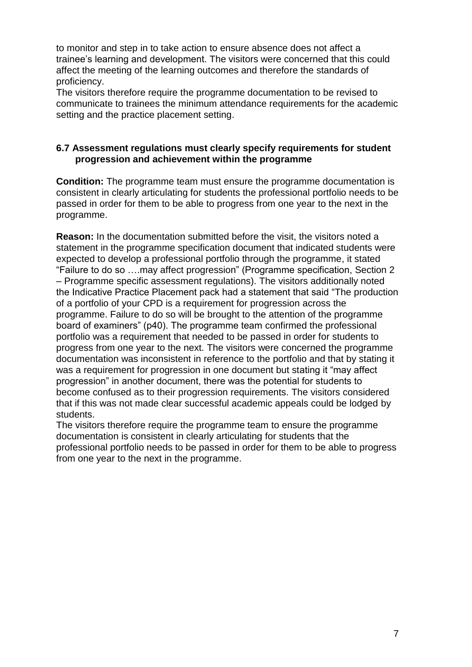to monitor and step in to take action to ensure absence does not affect a trainee"s learning and development. The visitors were concerned that this could affect the meeting of the learning outcomes and therefore the standards of proficiency.

The visitors therefore require the programme documentation to be revised to communicate to trainees the minimum attendance requirements for the academic setting and the practice placement setting.

#### **6.7 Assessment regulations must clearly specify requirements for student progression and achievement within the programme**

**Condition:** The programme team must ensure the programme documentation is consistent in clearly articulating for students the professional portfolio needs to be passed in order for them to be able to progress from one year to the next in the programme.

**Reason:** In the documentation submitted before the visit, the visitors noted a statement in the programme specification document that indicated students were expected to develop a professional portfolio through the programme, it stated "Failure to do so ….may affect progression" (Programme specification, Section 2 – Programme specific assessment regulations). The visitors additionally noted the Indicative Practice Placement pack had a statement that said "The production of a portfolio of your CPD is a requirement for progression across the programme. Failure to do so will be brought to the attention of the programme board of examiners" (p40). The programme team confirmed the professional portfolio was a requirement that needed to be passed in order for students to progress from one year to the next. The visitors were concerned the programme documentation was inconsistent in reference to the portfolio and that by stating it was a requirement for progression in one document but stating it "may affect" progression" in another document, there was the potential for students to become confused as to their progression requirements. The visitors considered that if this was not made clear successful academic appeals could be lodged by students.

The visitors therefore require the programme team to ensure the programme documentation is consistent in clearly articulating for students that the professional portfolio needs to be passed in order for them to be able to progress from one year to the next in the programme.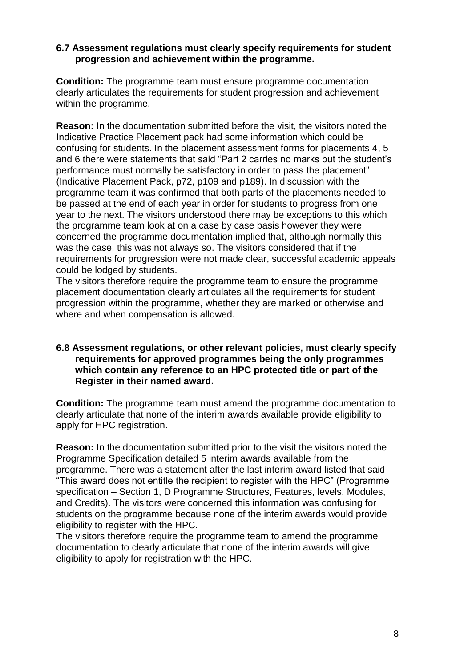#### **6.7 Assessment regulations must clearly specify requirements for student progression and achievement within the programme.**

**Condition:** The programme team must ensure programme documentation clearly articulates the requirements for student progression and achievement within the programme.

**Reason:** In the documentation submitted before the visit, the visitors noted the Indicative Practice Placement pack had some information which could be confusing for students. In the placement assessment forms for placements 4, 5 and 6 there were statements that said "Part 2 carries no marks but the student"s performance must normally be satisfactory in order to pass the placement" (Indicative Placement Pack, p72, p109 and p189). In discussion with the programme team it was confirmed that both parts of the placements needed to be passed at the end of each year in order for students to progress from one year to the next. The visitors understood there may be exceptions to this which the programme team look at on a case by case basis however they were concerned the programme documentation implied that, although normally this was the case, this was not always so. The visitors considered that if the requirements for progression were not made clear, successful academic appeals could be lodged by students.

The visitors therefore require the programme team to ensure the programme placement documentation clearly articulates all the requirements for student progression within the programme, whether they are marked or otherwise and where and when compensation is allowed.

#### **6.8 Assessment regulations, or other relevant policies, must clearly specify requirements for approved programmes being the only programmes which contain any reference to an HPC protected title or part of the Register in their named award.**

**Condition:** The programme team must amend the programme documentation to clearly articulate that none of the interim awards available provide eligibility to apply for HPC registration.

**Reason:** In the documentation submitted prior to the visit the visitors noted the Programme Specification detailed 5 interim awards available from the programme. There was a statement after the last interim award listed that said "This award does not entitle the recipient to register with the HPC" (Programme specification – Section 1, D Programme Structures, Features, levels, Modules, and Credits). The visitors were concerned this information was confusing for students on the programme because none of the interim awards would provide eligibility to register with the HPC.

The visitors therefore require the programme team to amend the programme documentation to clearly articulate that none of the interim awards will give eligibility to apply for registration with the HPC.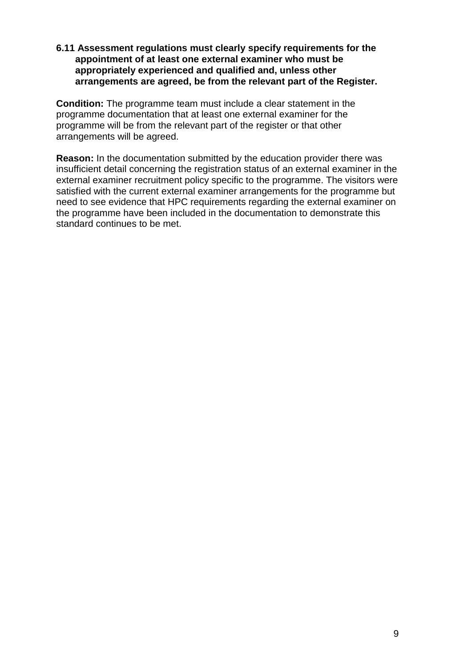#### **6.11 Assessment regulations must clearly specify requirements for the appointment of at least one external examiner who must be appropriately experienced and qualified and, unless other arrangements are agreed, be from the relevant part of the Register.**

**Condition:** The programme team must include a clear statement in the programme documentation that at least one external examiner for the programme will be from the relevant part of the register or that other arrangements will be agreed.

**Reason:** In the documentation submitted by the education provider there was insufficient detail concerning the registration status of an external examiner in the external examiner recruitment policy specific to the programme. The visitors were satisfied with the current external examiner arrangements for the programme but need to see evidence that HPC requirements regarding the external examiner on the programme have been included in the documentation to demonstrate this standard continues to be met.